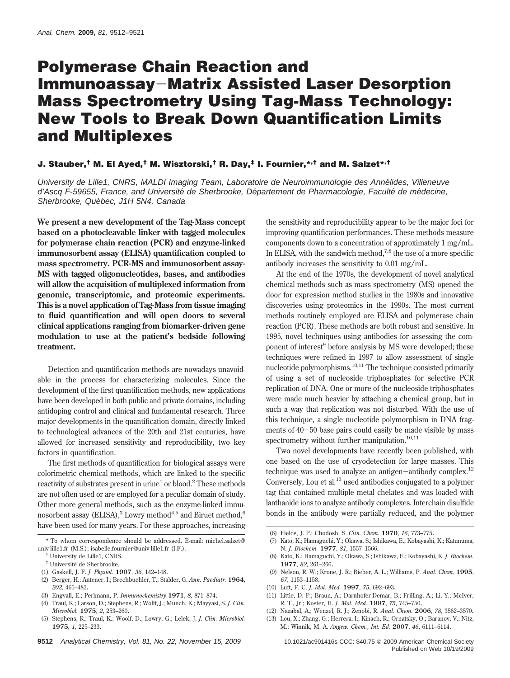# **Polymerase Chain Reaction and Immunoassay**-**Matrix Assisted Laser Desorption Mass Spectrometry Using Tag-Mass Technology: New Tools to Break Down Quantification Limits and Multiplexes**

## **J. Stauber,† M. El Ayed,† M. Wisztorski,† R. Day,‡ I. Fournier,\*,† and M. Salzet\*,†**

*University de Lille1, CNRS, MALDI Imaging Team, Laboratoire de Neuroimmunologie des Annélides, Villeneuve d'Ascq F-59655, France, and Universite´ de Sherbrooke, De´partement de Pharmacologie, Faculte´ de me´decine, Sherbrooke, Que´bec, J1H 5N4, Canada*

**We present a new development of the Tag-Mass concept based on a photocleavable linker with tagged molecules for polymerase chain reaction (PCR) and enzyme-linked immunosorbent assay (ELISA) quantification coupled to mass spectrometry. PCR-MS and immunosorbent assay-MS with tagged oligonucleotides, bases, and antibodies will allow the acquisition of multiplexed information from genomic, transcriptomic, and proteomic experiments. This is a novel application of Tag-Mass from tissue imaging to fluid quantification and will open doors to several clinical applications ranging from biomarker-driven gene modulation to use at the patient's bedside following treatment.**

Detection and quantification methods are nowadays unavoidable in the process for characterizing molecules. Since the development of the first quantification methods, new applications have been developed in both public and private domains, including antidoping control and clinical and fundamental research. Three major developments in the quantification domain, directly linked to technological advances of the 20th and 21st centuries, have allowed for increased sensitivity and reproducibility, two key factors in quantification.

The first methods of quantification for biological assays were colorimetric chemical methods, which are linked to the specific reactivity of substrates present in urine<sup>1</sup> or blood.<sup>2</sup> These methods are not often used or are employed for a peculiar domain of study. Other more general methods, such as the enzyme-linked immunosorbent assay (ELISA), $3$  Lowry method<sup>4,5</sup> and Biruet method, $6$ have been used for many years. For these approaches, increasing

- $^\ddag$ Université de Sherbrooke.
- (1) Gaskell, J. F. *J. Physiol.* **1907**, *36*, 142–148.
- (2) Berger, H.; Antener, I.; Brechbuehler, T.; Stalder, G. *Ann. Paediatr.* **1964**, *202*, 465–482.
- (3) Engvall, E.; Perlmann, P. *Immunochemistry* **1971**, *8*, 871–874.
- (4) Traul, K.; Larson, D.; Stephens, R.; Wolff, J.; Munch, K.; Mayyasi, S. *J. Clin. Microbiol.* **1975**, *2*, 253–260.
- (5) Stephens, R.; Traul, K.; Woolf, D.; Lowry, G.; Lelek, J. *J. Clin. Microbiol.* **1975**, *1*, 225–233.

the sensitivity and reproducibility appear to be the major foci for improving quantification performances. These methods measure components down to a concentration of approximately 1 mg/mL. In ELISA, with the sandwich method,  $7.8$  the use of a more specific antibody increases the sensitivity to 0.01 mg/mL.

At the end of the 1970s, the development of novel analytical chemical methods such as mass spectrometry (MS) opened the door for expression method studies in the 1980s and innovative discoveries using proteomics in the 1990s. The most current methods routinely employed are ELISA and polymerase chain reaction (PCR). These methods are both robust and sensitive. In 1995, novel techniques using antibodies for assessing the component of interest<sup>9</sup> before analysis by MS were developed; these techniques were refined in 1997 to allow assessment of single nucleotide polymorphisms.10,11 The technique consisted primarily of using a set of nucleoside triphosphates for selective PCR replication of DNA. One or more of the nucleoside triphosphates were made much heavier by attaching a chemical group, but in such a way that replication was not disturbed. With the use of this technique, a single nucleotide polymorphism in DNA fragments of 40-50 base pairs could easily be made visible by mass spectrometry without further manipulation. $10,11$ 

Two novel developments have recently been published, with one based on the use of cryodetection for large masses. This technique was used to analyze an antigen-antibody complex.<sup>12</sup> Conversely, Lou et al.<sup>13</sup> used antibodies conjugated to a polymer tag that contained multiple metal chelates and was loaded with lanthanide ions to analyze antibody complexes. Interchain disulfide bonds in the antibody were partially reduced, and the polymer

- (6) Fields, J. P.; Chodosh, S. *Clin. Chem.* **1970**, *16*, 773–775.
- (7) Kato, K.; Hamaguchi, Y.; Okawa, S.; Ishikawa, E.; Kobayashi, K.; Katunuma, N. *J. Biochem.* **1977**, *81*, 1557–1566.
- (8) Kato, K.; Hamaguchi, Y.; Okawa, S.; Ishikawa, E.; Kobayashi, K. *J. Biochem.* **1977**, *82*, 261–266.
- (9) Nelson, R. W.; Krone, J. R.; Bieber, A. L.; Williams, P. *Anal. Chem.* **1995**, *67*, 1153–1158.
- (10) Luft, F. C. *J. Mol. Med.* **1997**, *75*, 692–693.
- (11) Little, D. P.; Braun, A.; Darnhofer-Demar, B.; Frilling, A.; Li, Y.; McIver, R. T., Jr.; Koster, H. *J. Mol. Med.* **1997**, *75*, 745–750.
- (12) Nazabal, A.; Wenzel, R. J.; Zenobi, R. *Anal. Chem.* **2006**, *78*, 3562–3570.
- (13) Lou, X.; Zhang, G.; Herrera, I.; Kinach, R.; Ornatsky, O.; Baranov, V.; Nitz, M.; Winnik, M. A. *Angew. Chem., Int. Ed.* **2007**, *46*, 6111–6114.

<sup>\*</sup> To whom correspondence should be addressed. E-mail: michel.salzet@ univ-lille1.fr (M.S.); isabelle.fournier@univ-lille1.fr (I.F.).

<sup>†</sup> University de Lille1, CNRS.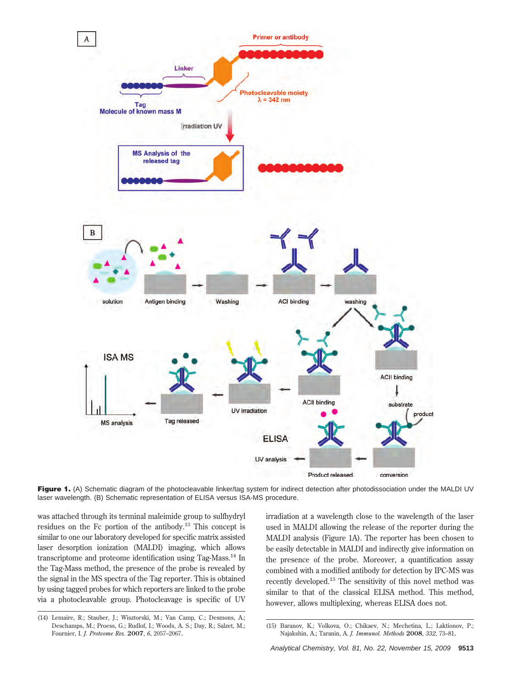

Figure 1. (A) Schematic diagram of the photocleavable linker/tag system for indirect detection after photodissociation under the MALDI UV laser wavelength. (B) Schematic representation of ELISA versus ISA-MS procedure.

was attached through its terminal maleimide group to sulfhydryl residues on the Fc portion of the antibody.13 This concept is similar to one our laboratory developed for specific matrix assisted laser desorption ionization (MALDI) imaging, which allows transcriptome and proteome identification using Tag-Mass.14 In the Tag-Mass method, the presence of the probe is revealed by the signal in the MS spectra of the Tag reporter. This is obtained by using tagged probes for which reporters are linked to the probe via a photocleavable group. Photocleavage is specific of UV irradiation at a wavelength close to the wavelength of the laser used in MALDI allowing the release of the reporter during the MALDI analysis (Figure 1A). The reporter has been chosen to be easily detectable in MALDI and indirectly give information on the presence of the probe. Moreover, a quantification assay combined with a modified antibody for detection by IPC-MS was recently developed.15 The sensitivity of this novel method was similar to that of the classical ELISA method. This method, however, allows multiplexing, whereas ELISA does not.

<sup>(14)</sup> Lemaire, R.; Stauber, J.; Wisztorski, M.; Van Camp, C.; Desmons, A.; Deschamps, M.; Proess, G.; Rudlof, I.; Woods, A. S.; Day, R.; Salzet, M.; Fournier, I. *J. Proteome Res.* **2007**, *6*, 2057–2067.

<sup>(15)</sup> Baranov, K.; Volkova, O.; Chikaev, N.; Mechetina, L.; Laktionov, P.; Najakshin, A.; Taranin, A. *J. Immunol. Methods* **2008**, *332*, 73–81.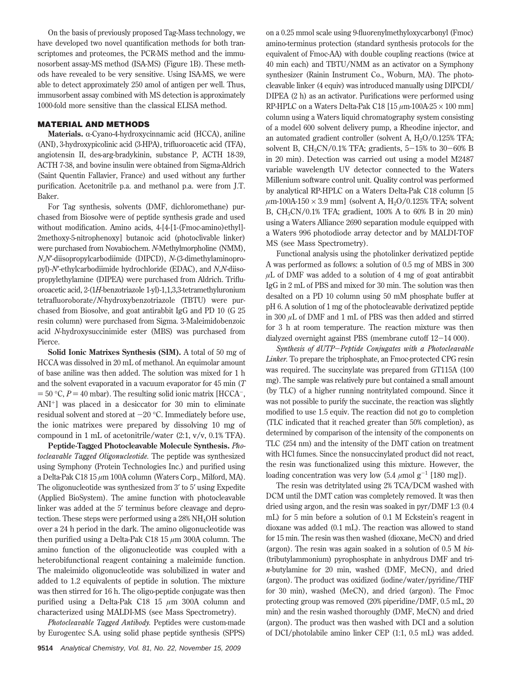On the basis of previously proposed Tag-Mass technology, we have developed two novel quantification methods for both transcriptomes and proteomes, the PCR-MS method and the immunosorbent assay-MS method (ISA-MS) (Figure 1B). These methods have revealed to be very sensitive. Using ISA-MS, we were able to detect approximately 250 amol of antigen per well. Thus, immusorbent assay combined with MS detection is approximately 1000-fold more sensitive than the classical ELISA method.

#### **MATERIAL AND METHODS**

Materials. α-Cyano-4-hydroxycinnamic acid (HCCA), aniline (ANI), 3-hydroxypicolinic acid (3-HPA), trifluoroacetic acid (TFA), angiotensin II, des-arg-bradykinin, substance P, ACTH 18-39, ACTH 7-38, and bovine insulin were obtained from Sigma-Aldrich (Saint Quentin Fallavier, France) and used without any further purification. Acetonitrile p.a. and methanol p.a. were from J.T. Baker.

For Tag synthesis, solvents (DMF, dichloromethane) purchased from Biosolve were of peptide synthesis grade and used without modification. Amino acids, 4-[4-[1-(Fmoc-amino)ethyl]-2methoxy-5-nitrophenoxy] butanoic acid (photoclivable linker) were purchased from Novabiochem. *N*-Methylmorpholine (NMM), *N*,*N*′-diisopropylcarbodiimide (DIPCD), *N*-(3-dimethylaminopropyl)-*N*′-ethylcarbodiimide hydrochloride (EDAC), and *N*,*N*-diisopropylethylamine (DIPEA) were purchased from Aldrich. Trifluoroacetic acid, 2-(1*H*-benzotriazole 1-yl)-1,1,3,3-tetramethyluronium tetrafluoroborate/*N*-hydroxybenzotriazole (TBTU) were purchased from Biosolve, and goat antirabbit IgG and PD 10 (G 25 resin column) were purchased from Sigma. 3-Maleimidobenzoic acid *N*-hydroxysuccinimide ester (MBS) was purchased from Pierce.

**Solid Ionic Matrixes Synthesis (SIM).** A total of 50 mg of HCCA was dissolved in 20 mL of methanol. An equimolar amount of base aniline was then added. The solution was mixed for 1 h and the solvent evaporated in a vacuum evaporator for 45 min (*T*  $=$  50 °C,  $P = 40$  mbar). The resulting solid ionic matrix [HCCA<sup>-</sup>, ANI+] was placed in a desiccator for 30 min to eliminate residual solvent and stored at  $-20$  °C. Immediately before use, the ionic matrixes were prepared by dissolving 10 mg of compound in 1 mL of acetonitrile/water (2:1, v/v, 0.1% TFA).

**Peptide-Tagged Photocleavable Molecule Synthesis.** *Photocleavable Tagged Oligonucleotide.* The peptide was synthesized using Symphony (Protein Technologies Inc.) and purified using a Delta-Pak C18 15 *µ*m 100A column (Waters Corp., Milford, MA). The oligonucleotide was synthesized from 3′ to 5′ using Expedite (Applied BioSystem). The amine function with photocleavable linker was added at the 5′ terminus before cleavage and deprotection. These steps were performed using a 28% NH4OH solution over a 24 h period in the dark. The amino oligonucleotide was then purified using a Delta-Pak C18 15 *µ*m 300A column. The amino function of the oligonucleotide was coupled with a heterobifunctional reagent containing a maleimide function. The maleimido oligonucleotide was solubilized in water and added to 1.2 equivalents of peptide in solution. The mixture was then stirred for 16 h. The oligo-peptide conjugate was then purified using a Delta-Pak C18 15 *µ*m 300A column and characterized using MALDI-MS (see Mass Spectrometry).

*Photocleavable Tagged Antibody.* Peptides were custom-made by Eurogentec S.A. using solid phase peptide synthesis (SPPS)

on a 0.25 mmol scale using 9-fluorenylmethyloxycarbonyl (Fmoc) amino-terminus protection (standard synthesis protocols for the equivalent of Fmoc-AA) with double coupling reactions (twice at 40 min each) and TBTU/NMM as an activator on a Symphony synthesizer (Rainin Instrument Co., Woburn, MA). The photocleavable linker (4 equiv) was introduced manually using DIPCDI/ DIPEA (2 h) as an activator. Purifications were performed using RP-HPLC on a Waters Delta-Pak C18 [15 *µ*m-100A-25 × 100 mm] column using a Waters liquid chromatography system consisting of a model 600 solvent delivery pump, a Rheodine injector, and an automated gradient controller (solvent A,  $H<sub>2</sub>O/0.125%$  TFA; solvent B,  $CH_3CN/0.1\%$  TFA; gradients, 5-15% to 30-60% B in 20 min). Detection was carried out using a model M2487 variable wavelength UV detector connected to the Waters Millenium software control unit. Quality control was performed by analytical RP-HPLC on a Waters Delta-Pak C18 column [5  $\mu$ m-100A-150 × 3.9 mm] (solvent A, H<sub>2</sub>O/0.125% TFA; solvent B,  $CH_3CN/0.1\%$  TFA; gradient, 100% A to 60% B in 20 min) using a Waters Alliance 2690 separation module equipped with a Waters 996 photodiode array detector and by MALDI-TOF MS (see Mass Spectrometry).

Functional analysis using the photolinker derivatized peptide A was performed as follows: a solution of 0.5 mg of MBS in 300  $\mu$ L of DMF was added to a solution of 4 mg of goat antirabbit IgG in 2 mL of PBS and mixed for 30 min. The solution was then desalted on a PD 10 column using 50 mM phosphate buffer at pH 6. A solution of 1 mg of the photocleavable derivatized peptide in 300 *µ*L of DMF and 1 mL of PBS was then added and stirred for 3 h at room temperature. The reaction mixture was then dialyzed overnight against PBS (membrane cutoff 12-14 000).

*Synthesis of dUTP*-*Peptide Conjugates with a Photocleavable Linker.* To prepare the triphosphate, an Fmoc-protected CPG resin was required. The succinylate was prepared from GT115A (100 mg). The sample was relatively pure but contained a small amount (by TLC) of a higher running nontritylated compound. Since it was not possible to purify the succinate, the reaction was slightly modified to use 1.5 equiv. The reaction did not go to completion (TLC indicated that it reached greater than 50% completion), as determined by comparison of the intensity of the components on TLC (254 nm) and the intensity of the DMT cation on treatment with HCl fumes. Since the nonsuccinylated product did not react, the resin was functionalized using this mixture. However, the loading concentration was very low  $(5.4 \ \mu mol \ g^{-1} [180 \ mg])$ .

The resin was detritylated using 2% TCA/DCM washed with DCM until the DMT cation was completely removed. It was then dried using argon, and the resin was soaked in pyr/DMF 1:3 (0.4 mL) for 5 min before a solution of 0.1 M Eckstein's reagent in dioxane was added (0.1 mL). The reaction was allowed to stand for 15 min. The resin was then washed (dioxane, MeCN) and dried (argon). The resin was again soaked in a solution of 0.5 M *bis*- (tributylammonium) pyrophosphate in anhydrous DMF and tri*n*-butylamine for 20 min, washed (DMF, MeCN), and dried (argon). The product was oxidized (iodine/water/pyridine/THF for 30 min), washed (MeCN), and dried (argon). The Fmoc protecting group was removed (20% piperidine/DMF, 0.5 mL, 20 min) and the resin washed thoroughly (DMF, MeCN) and dried (argon). The product was then washed with DCI and a solution of DCI/photolabile amino linker CEP (1:1, 0.5 mL) was added.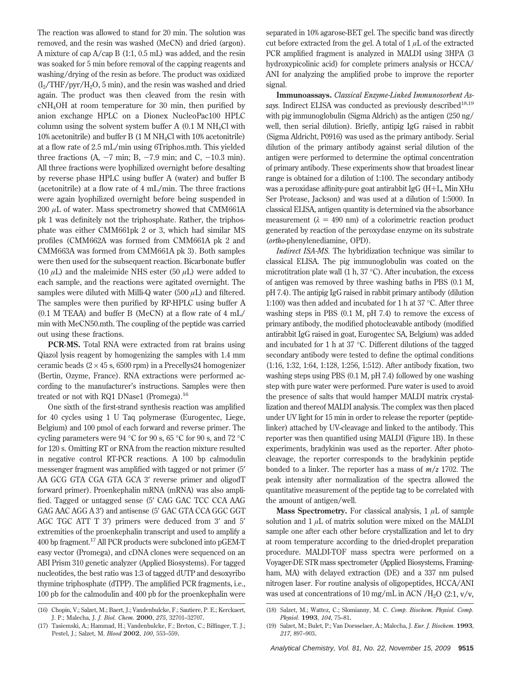The reaction was allowed to stand for 20 min. The solution was removed, and the resin was washed (MeCN) and dried (argon). A mixture of cap A/cap B (1:1, 0.5 mL) was added, and the resin was soaked for 5 min before removal of the capping reagents and washing/drying of the resin as before. The product was oxidized  $(I_2/THF/pyr/H_2O, 5 min)$ , and the resin was washed and dried again. The product was then cleaved from the resin with cNH4OH at room temperature for 30 min, then purified by anion exchange HPLC on a Dionex NucleoPac100 HPLC column using the solvent system buffer A  $(0.1 M NH<sub>4</sub>Cl$  with 10% acetonitrile) and buffer B (1 M NH4Cl with 10% acetonitrile) at a flow rate of 2.5 mL/min using 6Triphos.mth. This yielded three fractions  $(A, -7 \text{ min}; B, -7.9 \text{ min}; \text{ and } C, -10.3 \text{ min}).$ All three fractions were lyophilized overnight before desalting by reverse phase HPLC using buffer A (water) and buffer B (acetonitrile) at a flow rate of 4 mL/min. The three fractions were again lyophilized overnight before being suspended in 200 *µ*L of water. Mass spectrometry showed that CMM661A pk 1 was definitely not the triphosphate. Rather, the triphosphate was either CMM661pk 2 or 3, which had similar MS profiles (CMM662A was formed from CMM661A pk 2 and CMM663A was formed from CMM661A pk 3). Both samples were then used for the subsequent reaction. Bicarbonate buffer (10  $\mu$ L) and the maleimide NHS ester (50  $\mu$ L) were added to each sample, and the reactions were agitated overnight. The samples were diluted with Milli-Q water (500  $\mu$ L) and filtered. The samples were then purified by RP-HPLC using buffer A (0.1 M TEAA) and buffer B (MeCN) at a flow rate of 4 mL/ min with MeCN50.mth. The coupling of the peptide was carried out using these fractions.

**PCR-MS.** Total RNA were extracted from rat brains using Qiazol lysis reagent by homogenizing the samples with 1.4 mm ceramic beads  $(2 \times 45 \text{ s}, 6500 \text{ rpm})$  in a Precellys24 homogenizer (Bertin, Ozyme, France). RNA extractions were performed according to the manufacturer's instructions. Samples were then treated or not with RQ1 DNase1 (Promega).<sup>16</sup>

One sixth of the first-strand synthesis reaction was amplified for 40 cycles using 1 U Taq polymerase (Eurogentec, Liege, Belgium) and 100 pmol of each forward and reverse primer. The cycling parameters were 94 °C for 90 s, 65 °C for 90 s, and 72 °C for 120 s. Omitting RT or RNA from the reaction mixture resulted in negative control RT-PCR reactions. A 100 bp calmodulin messenger fragment was amplified with tagged or not primer (5′ AA GCG GTA CGA GTA GCA 3′ reverse primer and oligodT forward primer). Proenkephalin mRNA (mRNA) was also amplified. Tagged or untagged sense (5′ CAG GAC TCC CCA AAG GAG AAC AGG A 3′) and antisense (5′ GAC GTA CCA GGC GGT AGC TGC ATT T 3′) primers were deduced from 3′ and 5′ extremities of the proenkephalin transcript and used to amplify a 400 bp fragment.17 All PCR products were subcloned into pGEM-T easy vector (Promega), and cDNA clones were sequenced on an ABI Prism 310 genetic analyzer (Applied Biosystems). For tagged nucleotides, the best ratio was 1:3 of tagged dUTP and desoxyribo thymine triphosphate (dTPP). The amplified PCR fragments, i.e., 100 pb for the calmodulin and 400 pb for the proenkephalin were

separated in 10% agarose-BET gel. The specific band was directly cut before extracted from the gel. A total of  $1 \mu L$  of the extracted PCR amplified fragment is analyzed in MALDI using 3HPA (3 hydroxypicolinic acid) for complete primers analysis or HCCA/ ANI for analyzing the amplified probe to improve the reporter signal.

**Immunoassays.** *Classical Enzyme-Linked Immunosorbent As*says. Indirect ELISA was conducted as previously described<sup>18,19</sup> with pig immunoglobulin (Sigma Aldrich) as the antigen (250 ng/ well, then serial dilution). Briefly, antipig IgG raised in rabbit (Sigma Aldricht, P0916) was used as the primary antibody. Serial dilution of the primary antibody against serial dilution of the antigen were performed to determine the optimal concentration of primary antibody. These experiments show that broadest linear range is obtained for a dilution of 1:100. The secondary antibody was a peroxidase affinity-pure goat antirabbit IgG (H+L, Min XHu Ser Protease, Jackson) and was used at a dilution of 1:5000. In classical ELISA, antigen quantity is determined via the absorbance measurement  $(\lambda = 490 \text{ nm})$  of a colorimetric reaction product generated by reaction of the peroxydase enzyme on its substrate (*ortho*-phenylenediamine, OPD).

*Indirect ISA-MS.* The hybridization technique was similar to classical ELISA. The pig immunoglobulin was coated on the microtitration plate wall (1 h, 37 °C). After incubation, the excess of antigen was removed by three washing baths in PBS (0.1 M, pH 7.4). The antipig IgG raised in rabbit primary antibody (dilution 1:100) was then added and incubated for 1 h at 37 °C. After three washing steps in PBS (0.1 M, pH 7.4) to remove the excess of primary antibody, the modified photocleavable antibody (modified antirabbit IgG raised in goat, Eurogentec SA, Belgium) was added and incubated for 1 h at 37 °C. Different dilutions of the tagged secondary antibody were tested to define the optimal conditions (1:16, 1:32, 1:64, 1:128, 1:256, 1:512). After antibody fixation, two washing steps using PBS (0.1 M, pH 7.4) followed by one washing step with pure water were performed. Pure water is used to avoid the presence of salts that would hamper MALDI matrix crystallization and thereof MALDI analysis. The complex was then placed under UV light for 15 min in order to release the reporter (peptidelinker) attached by UV-cleavage and linked to the antibody. This reporter was then quantified using MALDI (Figure 1B). In these experiments, bradykinin was used as the reporter. After photocleavage, the reporter corresponds to the bradykinin peptide bonded to a linker. The reporter has a mass of *m*/*z* 1702. The peak intensity after normalization of the spectra allowed the quantitative measurement of the peptide tag to be correlated with the amount of antigen/well.

**Mass Spectrometry.** For classical analysis, 1 *µ*L of sample solution and  $1 \mu$ L of matrix solution were mixed on the MALDI sample one after each other before crystallization and let to dry at room temperature according to the dried-droplet preparation procedure. MALDI-TOF mass spectra were performed on a Voyager-DE STR mass spectrometer (Applied Biosystems, Framingham, MA) with delayed extraction (DE) and a 337 nm pulsed nitrogen laser. For routine analysis of oligopeptides, HCCA/ANI was used at concentrations of 10 mg/mL in ACN /H<sub>2</sub>O (2:1, v/v,

<sup>(16)</sup> Chopin, V.; Salzet, M.; Baert, J.; Vandenbulcke, F.; Sautiere, P. E.; Kerckaert, J. P.; Malecha, J. *J. Biol. Chem.* **2000**, *275*, 32701–32707.

<sup>(17)</sup> Tasiemski, A.; Hammad, H.; Vandenbulcke, F.; Breton, C.; Bilfinger, T. J.; Pestel, J.; Salzet, M. *Blood* **2002**, *100*, 553–559.

<sup>(18)</sup> Salzet, M.; Wattez, C.; Slomianny, M. C. *Comp. Biochem. Physiol. Comp. Physiol.* **1993**, *104*, 75–81.

<sup>(19)</sup> Salzet, M.; Bulet, P.; Van Dorsselaer, A.; Malecha, J. *Eur. J. Biochem.* **1993**, *217*, 897–903.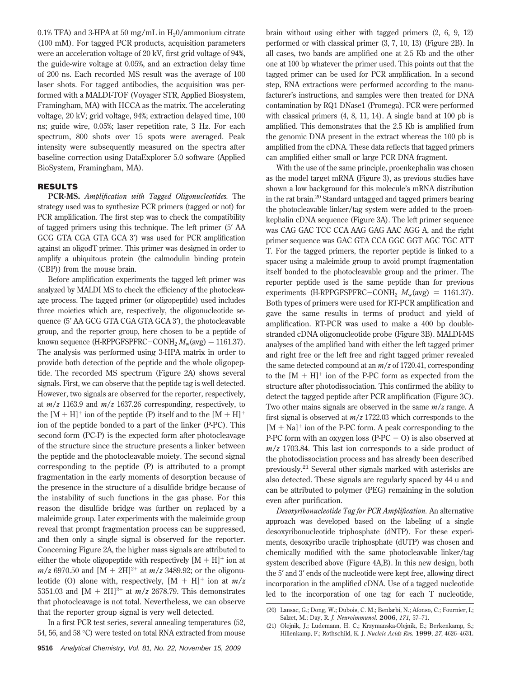0.1% TFA) and 3-HPA at 50 mg/mL in  $H_2O/$ ammonium citrate (100 mM). For tagged PCR products, acquisition parameters were an acceleration voltage of 20 kV, first grid voltage of 94%, the guide-wire voltage at 0.05%, and an extraction delay time of 200 ns. Each recorded MS result was the average of 100 laser shots. For tagged antibodies, the acquisition was performed with a MALDI-TOF (Voyager STR, Applied Biosystem, Framingham, MA) with HCCA as the matrix. The accelerating voltage, 20 kV; grid voltage, 94%; extraction delayed time, 100 ns; guide wire, 0.05%; laser repetition rate, 3 Hz. For each spectrum, 800 shots over 15 spots were averaged. Peak intensity were subsequently measured on the spectra after baseline correction using DataExplorer 5.0 software (Applied BioSystem, Framingham, MA).

### **RESULTS**

**PCR-MS.** *Amplification with Tagged Oligonucleotides.* The strategy used was to synthesize PCR primers (tagged or not) for PCR amplification. The first step was to check the compatibility of tagged primers using this technique. The left primer (5′ AA GCG GTA CGA GTA GCA 3′) was used for PCR amplification against an oligodT primer. This primer was designed in order to amplify a ubiquitous protein (the calmodulin binding protein (CBP)) from the mouse brain.

Before amplification experiments the tagged left primer was analyzed by MALDI MS to check the efficiency of the photocleavage process. The tagged primer (or oligopeptide) used includes three moieties which are, respectively, the oligonucleotide sequence (5′ AA GCG GTA CGA GTA GCA 3′), the photocleavable group, and the reporter group, here chosen to be a peptide of known sequence (H-RPPGFSPFRC-CONH<sub>2</sub>  $M_{\text{w}}(\text{avg}) = 1161.37$ ). The analysis was performed using 3-HPA matrix in order to provide both detection of the peptide and the whole oligopeptide. The recorded MS spectrum (Figure 2A) shows several signals. First, we can observe that the peptide tag is well detected. However, two signals are observed for the reporter, respectively, at *m*/*z* 1163.9 and *m*/*z* 1637.26 corresponding, respectively, to the  $[M + H]^+$  ion of the peptide (P) itself and to the  $[M + H]^+$ ion of the peptide bonded to a part of the linker (P-PC). This second form (PC-P) is the expected form after photocleavage of the structure since the structure presents a linker between the peptide and the photocleavable moiety. The second signal corresponding to the peptide (P) is attributed to a prompt fragmentation in the early moments of desorption because of the presence in the structure of a disulfide bridge because of the instability of such functions in the gas phase. For this reason the disulfide bridge was further on replaced by a maleimide group. Later experiments with the maleimide group reveal that prompt fragmentation process can be suppressed, and then only a single signal is observed for the reporter. Concerning Figure 2A, the higher mass signals are attributed to either the whole oligopeptide with respectively  $[M + H]^{+}$  ion at  $m/z$  6970.50 and  $[M + 2H]^{2+}$  at  $m/z$  3489.92; or the oligonuleotide (O) alone with, respectively,  $[M + H]^+$  ion at  $m/z$ 5351.03 and  $[M + 2H]^{2+}$  at  $m/z$  2678.79. This demonstrates that photocleavage is not total. Nevertheless, we can observe that the reporter group signal is very well detected.

In a first PCR test series, several annealing temperatures (52, 54, 56, and 58 °C) were tested on total RNA extracted from mouse brain without using either with tagged primers (2, 6, 9, 12) performed or with classical primer (3, 7, 10, 13) (Figure 2B). In all cases, two bands are amplified one at 2.5 Kb and the other one at 100 bp whatever the primer used. This points out that the tagged primer can be used for PCR amplification. In a second step, RNA extractions were performed according to the manufacturer's instructions, and samples were then treated for DNA contamination by RQ1 DNase1 (Promega). PCR were performed with classical primers (4, 8, 11, 14). A single band at 100 pb is amplified. This demonstrates that the 2.5 Kb is amplified from the genomic DNA present in the extract whereas the 100 pb is amplified from the cDNA. These data reflects that tagged primers can amplified either small or large PCR DNA fragment.

With the use of the same principle, proenkephalin was chosen as the model target mRNA (Figure 3), as previous studies have shown a low background for this molecule's mRNA distribution in the rat brain.20 Standard untagged and tagged primers bearing the photocleavable linker/tag system were added to the proenkephalin cDNA sequence (Figure 3A). The left primer sequence was CAG GAC TCC CCA AAG GAG AAC AGG A, and the right primer sequence was GAC GTA CCA GGC GGT AGC TGC ATT T. For the tagged primers, the reporter peptide is linked to a spacer using a maleimide group to avoid prompt fragmentation itself bonded to the photocleavable group and the primer. The reporter peptide used is the same peptide than for previous experiments (H-RPPGFSPFRC-CONH<sub>2</sub>  $M_{\text{w}}(\text{avg}) = 1161.37$ ). Both types of primers were used for RT-PCR amplification and gave the same results in terms of product and yield of amplification. RT-PCR was used to make a 400 bp doublestranded cDNA oligonucleotide probe (Figure 3B). MALDI-MS analyses of the amplified band with either the left tagged primer and right free or the left free and right tagged primer revealed the same detected compound at an *m*/*z* of 1720.41, corresponding to the  $[M + H]^+$  ion of the P-PC form as expected from the structure after photodissociation. This confirmed the ability to detect the tagged peptide after PCR amplification (Figure 3C). Two other mains signals are observed in the same *m*/*z* range. A first signal is observed at *m*/*z* 1722.03 which corresponds to the  $[M + Na]$ <sup>+</sup> ion of the P-PC form. A peak corresponding to the P-PC form with an oxygen loss (P-PC  $-$  O) is also observed at *m*/*z* 1703.84. This last ion corresponds to a side product of the photodissociation process and has already been described previously.21 Several other signals marked with asterisks are also detected. These signals are regularly spaced by 44 u and can be attributed to polymer (PEG) remaining in the solution even after purification.

*Desoxyribonucleotide Tag for PCR Amplification.* An alternative approach was developed based on the labeling of a single desoxyribonucleotide triphosphate (dNTP). For these experiments, desoxyribo uracile triphosphate (dUTP) was chosen and chemically modified with the same photocleavable linker/tag system described above (Figure 4A,B). In this new design, both the 5′ and 3′ ends of the nucleotide were kept free, allowing direct incorporation in the amplified cDNA. Use of a tagged nucleotide led to the incorporation of one tag for each T nucleotide,

<sup>(20)</sup> Lansac, G.; Dong, W.; Dubois, C. M.; Benlarbi, N.; Afonso, C.; Fournier, I.; Salzet, M.; Day, R. *J. Neuroimmunol.* **2006**, *171*, 57–71.

<sup>(21)</sup> Olejnik, J.; Ludemann, H. C.; Krzymanska-Olejnik, E.; Berkenkamp, S.; Hillenkamp, F.; Rothschild, K. J. *Nucleic Acids Res.* **1999**, *27*, 4626–4631.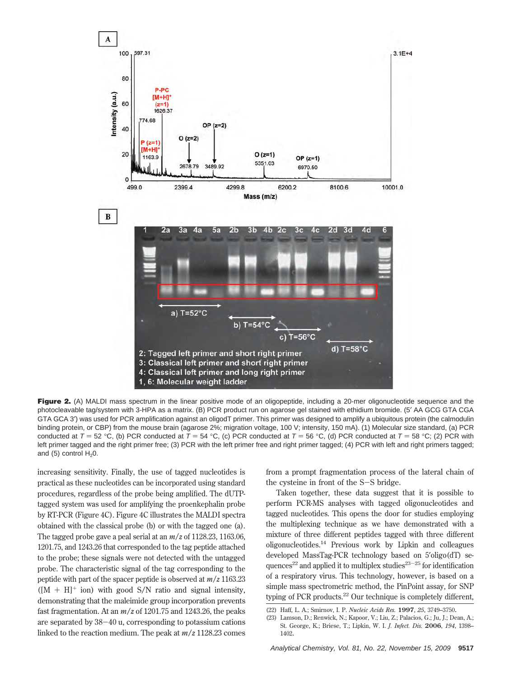

**Figure 2.** (A) MALDI mass spectrum in the linear positive mode of an oligopeptide, including a 20-mer oligonucleotide sequence and the photocleavable tag/system with 3-HPA as a matrix. (B) PCR product run on agarose gel stained with ethidium bromide. (5′ AA GCG GTA CGA GTA GCA 3′) was used for PCR amplification against an oligodT primer. This primer was designed to amplify a ubiquitous protein (the calmodulin binding protein, or CBP) from the mouse brain (agarose 2%; migration voltage, 100 V; intensity, 150 mA). (1) Molecular size standard, (a) PCR conducted at  $T = 52$  °C, (b) PCR conducted at  $T = 54$  °C, (c) PCR conducted at  $T = 56$  °C, (d) PCR conducted at  $T = 58$  °C; (2) PCR with left primer tagged and the right primer free; (3) PCR with the left primer free and right primer tagged; (4) PCR with left and right primers tagged; and (5) control  $H_2O$ .

increasing sensitivity. Finally, the use of tagged nucleotides is practical as these nucleotides can be incorporated using standard procedures, regardless of the probe being amplified. The dUTPtagged system was used for amplifying the proenkephalin probe by RT-PCR (Figure 4C). Figure 4C illustrates the MALDI spectra obtained with the classical probe (b) or with the tagged one (a). The tagged probe gave a peal serial at an *m*/*z* of 1128.23, 1163.06, 1201.75, and 1243.26 that corresponded to the tag peptide attached to the probe; these signals were not detected with the untagged probe. The characteristic signal of the tag corresponding to the peptide with part of the spacer peptide is observed at *m*/*z* 1163.23  $([M + H]^+$  ion) with good S/N ratio and signal intensity, demonstrating that the maleimide group incorporation prevents fast fragmentation. At an *m*/*z* of 1201.75 and 1243.26, the peaks are separated by 38-40 u, corresponding to potassium cations linked to the reaction medium. The peak at *m*/*z* 1128.23 comes from a prompt fragmentation process of the lateral chain of the cysteine in front of the S-S bridge.

Taken together, these data suggest that it is possible to perform PCR-MS analyses with tagged oligonucleotides and tagged nucleotides. This opens the door for studies employing the multiplexing technique as we have demonstrated with a mixture of three different peptides tagged with three different oligonucleotides.14 Previous work by Lipkin and colleagues developed MassTag-PCR technology based on 5′oligo(dT) sequences<sup>22</sup> and applied it to multiplex studies<sup>23-25</sup> for identification of a respiratory virus. This technology, however, is based on a simple mass spectrometric method, the PinPoint assay, for SNP typing of PCR products.<sup>22</sup> Our technique is completely different,

<sup>(22)</sup> Haff, L. A.; Smirnov, I. P. *Nucleic Acids Res.* **1997**, *25*, 3749–3750.

<sup>(23)</sup> Lamson, D.; Renwick, N.; Kapoor, V.; Liu, Z.; Palacios, G.; Ju, J.; Dean, A.; St. George, K.; Briese, T.; Lipkin, W. I. *J. Infect. Dis.* **2006**, *194*, 1398– 1402.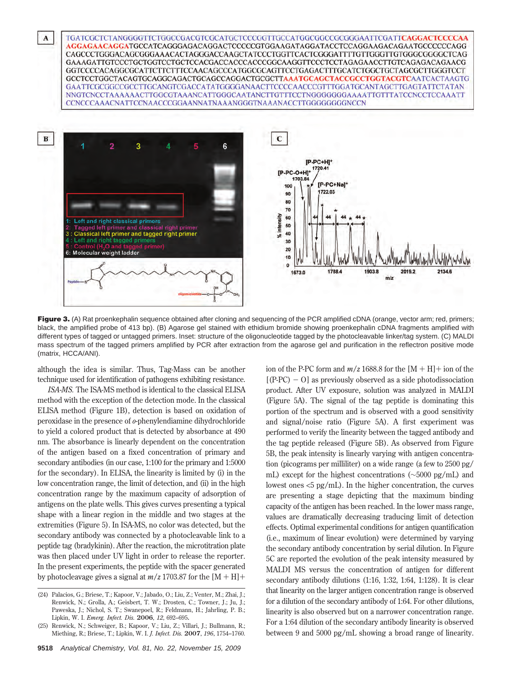A

TGATCGCTCTANGGGGTTCTGGCCGACGTCGCATGCTCCCGGTTGCCATGGCGGCCGGGGAATTCGATTCAGGACTCCCCAA AGGAGAACAGGATGCCATCAGGGAGACAGGACTCCCCCGTGGAAGATAGGATACCTCCAGGAAGACAGAATGCCCCCCAGG CAGCCCTGGGACAGCGGGAAACACTAGGGACCAAGCTATCCCTGGTTCACTCGGGATTITGTTGGGTTGTGGGCGGGCTCAG GGTCCCCACAGGCGCATTCTTCTTCCAACAGCCCATGGCGCAGTTCCTGAGACTTTGCATCTGGCTGCTAGCGCTTGGGTCCT GCCTCCTGGCTACAGTGCAGGCAGACTGCAGCCAGGACTGCGCTTAAATGCAGCTACCGCCTGGTACGTCAATCACTAAGTG GAATTCGCGGCCGCCTTGCANGTCGACCATATGGGGANAACTTCCCCAACCCGTTTGGATGCANTAGCTTGAGTATTCTATAN NNGTCNCCTAAAAAACTTGGCGTAAANCATTGGGCAATANCTTGTTTCCTNGGGGGGAAAATTGTTTATCCNCCTCCAAATT CCNCCCAAACNATTCCNAACCCGGAANNATNAAANGGGTNAAANACCTTGGGGGGGGNCCN



**Figure 3.** (A) Rat proenkephalin sequence obtained after cloning and sequencing of the PCR amplified cDNA (orange, vector arm; red, primers; black, the amplified probe of 413 bp). (B) Agarose gel stained with ethidium bromide showing proenkephalin cDNA fragments amplified with different types of tagged or untagged primers. Inset: structure of the oligonucleotide tagged by the photocleavable linker/tag system. (C) MALDI mass spectrum of the tagged primers amplified by PCR after extraction from the agarose gel and purification in the reflectron positive mode (matrix, HCCA/ANI).

although the idea is similar. Thus, Tag-Mass can be another technique used for identification of pathogens exhibiting resistance.

*ISA-MS.* The ISA-MS method is identical to the classical ELISA method with the exception of the detection mode. In the classical ELISA method (Figure 1B), detection is based on oxidation of peroxidase in the presence of *o*-phenylendiamine dihydrochloride to yield a colored product that is detected by absorbance at 490 nm. The absorbance is linearly dependent on the concentration of the antigen based on a fixed concentration of primary and secondary antibodies (in our case, 1:100 for the primary and 1:5000 for the secondary). In ELISA, the linearity is limited by (i) in the low concentration range, the limit of detection, and (ii) in the high concentration range by the maximum capacity of adsorption of antigens on the plate wells. This gives curves presenting a typical shape with a linear region in the middle and two stages at the extremities (Figure 5). In ISA-MS, no color was detected, but the secondary antibody was connected by a photocleavable link to a peptide tag (bradykinin). After the reaction, the microtitration plate was then placed under UV light in order to release the reporter. In the present experiments, the peptide with the spacer generated by photocleavage gives a signal at  $m/z$  1703.87 for the  $[M + H]$ +

ion of the P-PC form and  $m/z$  1688.8 for the  $[M + H] +$  ion of the  $[(P-PC) - O]$  as previously observed as a side photodissociation product. After UV exposure, solution was analyzed in MALDI (Figure 5A). The signal of the tag peptide is dominating this portion of the spectrum and is observed with a good sensitivity and signal/noise ratio (Figure 5A). A first experiment was performed to verify the linearity between the tagged antibody and the tag peptide released (Figure 5B). As observed from Figure 5B, the peak intensity is linearly varying with antigen concentration (picograms per milliliter) on a wide range (a few to 2500 pg/ mL) except for the highest concentrations (∼5000 pg/mL) and lowest ones <5 pg/mL). In the higher concentration, the curves are presenting a stage depicting that the maximum binding capacity of the antigen has been reached. In the lower mass range, values are dramatically decreasing traducing limit of detection effects. Optimal experimental conditions for antigen quantification (i.e., maximum of linear evolution) were determined by varying the secondary antibody concentration by serial dilution. In Figure 5C are reported the evolution of the peak intensity measured by MALDI MS versus the concentration of antigen for different secondary antibody dilutions (1:16, 1:32, 1:64, 1:128). It is clear that linearity on the larger antigen concentration range is observed for a dilution of the secondary antibody of 1:64. For other dilutions, linearity is also observed but on a narrower concentration range. For a 1:64 dilution of the secondary antibody linearity is observed between 9 and 5000 pg/mL showing a broad range of linearity.

<sup>(24)</sup> Palacios, G.; Briese, T.; Kapoor, V.; Jabado, O.; Liu, Z.; Venter, M.; Zhai, J.; Renwick, N.; Grolla, A.; Geisbert, T. W.; Drosten, C.; Towner, J.; Ju, J.; Paweska, J.; Nichol, S. T.; Swanepoel, R.; Feldmann, H.; Jahrling, P. B.; Lipkin, W. I. *Emerg. Infect. Dis.* **2006**, *12*, 692–695.

<sup>(25)</sup> Renwick, N.; Schweiger, B.; Kapoor, V.; Liu, Z.; Villari, J.; Bullmann, R.; Miething, R.; Briese, T.; Lipkin, W. I. *J. Infect. Dis.* **2007**, *196*, 1754–1760.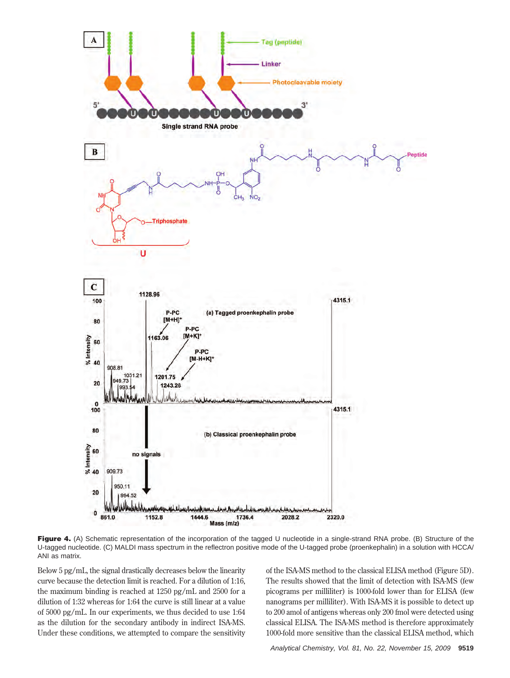

Figure 4. (A) Schematic representation of the incorporation of the tagged U nucleotide in a single-strand RNA probe. (B) Structure of the U-tagged nucleotide. (C) MALDI mass spectrum in the reflectron positive mode of the U-tagged probe (proenkephalin) in a solution with HCCA/ ANI as matrix.

Below 5 pg/mL, the signal drastically decreases below the linearity curve because the detection limit is reached. For a dilution of 1:16, the maximum binding is reached at 1250 pg/mL and 2500 for a dilution of 1:32 whereas for 1:64 the curve is still linear at a value of 5000 pg/mL. In our experiments, we thus decided to use 1:64 as the dilution for the secondary antibody in indirect ISA-MS. Under these conditions, we attempted to compare the sensitivity of the ISA-MS method to the classical ELISA method (Figure 5D). The results showed that the limit of detection with ISA-MS (few picograms per milliliter) is 1000-fold lower than for ELISA (few nanograms per milliliter). With ISA-MS it is possible to detect up to 200 amol of antigens whereas only 200 fmol were detected using classical ELISA. The ISA-MS method is therefore approximately 1000-fold more sensitive than the classical ELISA method, which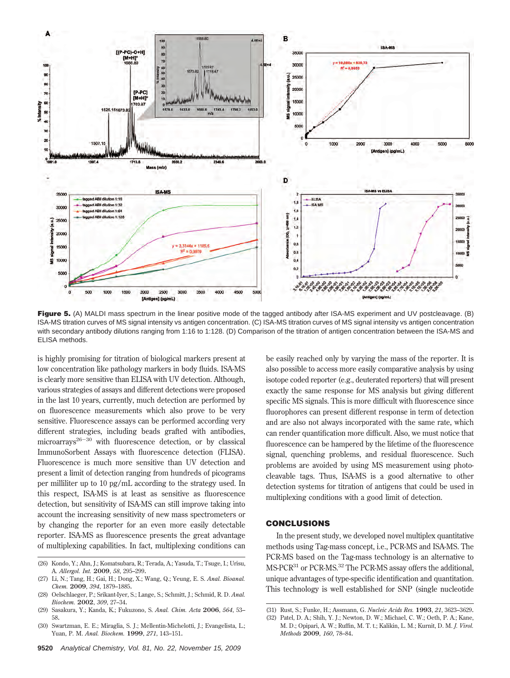

**Figure 5.** (A) MALDI mass spectrum in the linear positive mode of the tagged antibody after ISA-MS experiment and UV postcleavage. (B) ISA-MS titration curves of MS signal intensity vs antigen concentration. (C) ISA-MS titration curves of MS signal intensity vs antigen concentration with secondary antibody dilutions ranging from 1:16 to 1:128. (D) Comparison of the titration of antigen concentration between the ISA-MS and ELISA methods.

is highly promising for titration of biological markers present at low concentration like pathology markers in body fluids. ISA-MS is clearly more sensitive than ELISA with UV detection. Although, various strategies of assays and different detections were proposed in the last 10 years, currently, much detection are performed by on fluorescence measurements which also prove to be very sensitive. Fluorescence assays can be performed according very different strategies, including beads grafted with antibodies, microarrays<sup>26-30</sup> with fluorescence detection, or by classical ImmunoSorbent Assays with fluorescence detection (FLISA). Fluorescence is much more sensitive than UV detection and present a limit of detection ranging from hundreds of picograms per milliliter up to 10 pg/mL according to the strategy used. In this respect, ISA-MS is at least as sensitive as fluorescence detection, but sensitivity of ISA-MS can still improve taking into account the increasing sensitivity of new mass spectrometers or by changing the reporter for an even more easily detectable reporter. ISA-MS as fluorescence presents the great advantage of multiplexing capabilities. In fact, multiplexing conditions can be easily reached only by varying the mass of the reporter. It is also possible to access more easily comparative analysis by using isotope coded reporter (e.g., deuterated reporters) that will present exactly the same response for MS analysis but giving different specific MS signals. This is more difficult with fluorescence since fluorophores can present different response in term of detection and are also not always incorporated with the same rate, which can render quantification more difficult. Also, we must notice that fluorescence can be hampered by the lifetime of the fluorescence signal, quenching problems, and residual fluorescence. Such problems are avoided by using MS measurement using photocleavable tags. Thus, ISA-MS is a good alternative to other detection systems for titration of antigens that could be used in multiplexing conditions with a good limit of detection.

#### **CONCLUSIONS**

In the present study, we developed novel multiplex quantitative methods using Tag-mass concept, i.e., PCR-MS and ISA-MS. The PCR-MS based on the Tag-mass technology is an alternative to MS-PCR<sup>31</sup> or PCR-MS.<sup>32</sup> The PCR-MS assay offers the additional, unique advantages of type-specific identification and quantitation. This technology is well established for SNP (single nucleotide

<sup>(26)</sup> Kondo, Y.; Ahn, J.; Komatsubara, R.; Terada, A.; Yasuda, T.; Tsuge, I.; Urisu, A. *Allergol. Int.* **2009**, *58*, 295–299.

<sup>(27)</sup> Li, N.; Tang, H.; Gai, H.; Dong, X.; Wang, Q.; Yeung, E. S. *Anal. Bioanal. Chem.* **2009**, *394*, 1879–1885.

<sup>(28)</sup> Oelschlaeger, P.; Srikant-Iyer, S.; Lange, S.; Schmitt, J.; Schmid, R. D. *Anal. Biochem.* **2002**, *309*, 27–34.

<sup>(29)</sup> Sasakura, Y.; Kanda, K.; Fukuzono, S. *Anal. Chim. Acta* **2006**, *564*, 53– 58.

<sup>(30)</sup> Swartzman, E. E.; Miraglia, S. J.; Mellentin-Michelotti, J.; Evangelista, L.; Yuan, P. M. *Anal. Biochem.* **1999**, *271*, 143–151.

<sup>(31)</sup> Rust, S.; Funke, H.; Assmann, G. *Nucleic Acids Res.* **1993**, *21*, 3623–3629.

<sup>(32)</sup> Patel, D. A.; Shih, Y. J.; Newton, D. W.; Michael, C. W.; Oeth, P. A.; Kane, M. D.; Opipari, A. W.; Ruffin, M. T. t.; Kalikin, L. M.; Kurnit, D. M. *J. Virol. Methods* **2009**, *160*, 78–84.